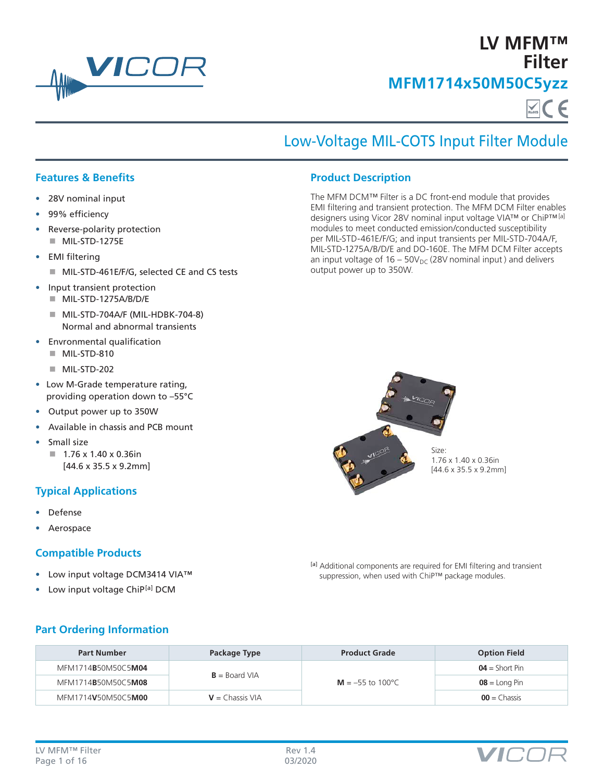

**LV MFM™ Filter MFM1714x50M50C5yzz**

# Low-Voltage MIL-COTS Input Filter Module

The MFM DCM™ Filter is a DC front-end module that provides EMI filtering and transient protection. The MFM DCM Filter enables designers using Vicor 28V nominal input voltage VIA™ or ChiP™[a] modules to meet conducted emission/conducted susceptibility per MIL-STD-461E/F/G; and input transients per MIL-STD-704A/F, MIL-STD-1275A/B/D/E and DO-160E. The MFM DCM Filter accepts an input voltage of  $16 - 50V_{DC}$  (28V nominal input) and delivers

**Product Description**

output power up to 350W.

### **Features & Benefits**

- 28V nominal input
- 99% efficiency
- Reverse-polarity protection MIL-STD-1275E
- EMI filtering
	- MIL-STD-461E/F/G, selected CE and CS tests
- Input transient protection
	- MIL-STD-1275A/B/D/E
	- MIL-STD-704A/F (MIL-HDBK-704-8) Normal and abnormal transients
- Envronmental qualification
	- MIL-STD-810
		- $MIL-STD-202$
- Low M-Grade temperature rating, providing operation down to –55°C
- Output power up to 350W
- Available in chassis and PCB mount
- Small size  $1.76 \times 1.40 \times 0.36$ in [44.6 x 35.5 x 9.2mm]

# **Typical Applications**

- Defense
- Aerospace

### **Compatible Products**

- Low input voltage DCM3414 VIA™
- Low input voltage ChiP<sup>[a]</sup> DCM



1.76 x 1.40 x 0.36in [44.6 x 35.5 x 9.2mm]

[a] Additional components are required for EMI filtering and transient suppression, when used with ChiP™ package modules.

### **Part Ordering Information**

| <b>Part Number</b> | Package Type      | <b>Product Grade</b> | <b>Option Field</b> |
|--------------------|-------------------|----------------------|---------------------|
| MFM1714B50M50C5M04 | $B =$ Board VIA   |                      | $04 =$ Short Pin    |
| MFM1714B50M50C5M08 |                   | $M = -55$ to 100 °C  | $08 =$ Long Pin     |
| MFM1714V50M50C5M00 | $V =$ Chassis VIA | $00 =$ Chassis       |                     |

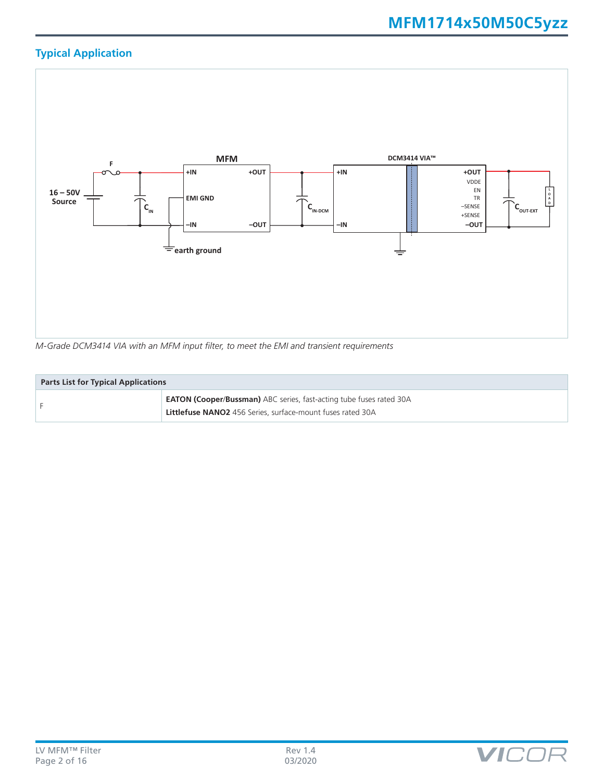# **Typical Application**



**Parts List for Typical Applications EATON (Cooper/Bussman)** ABC series, fast-acting tube fuses rated 30A **Littlefuse NANO2** 456 Series, surface-mount fuses rated 30A

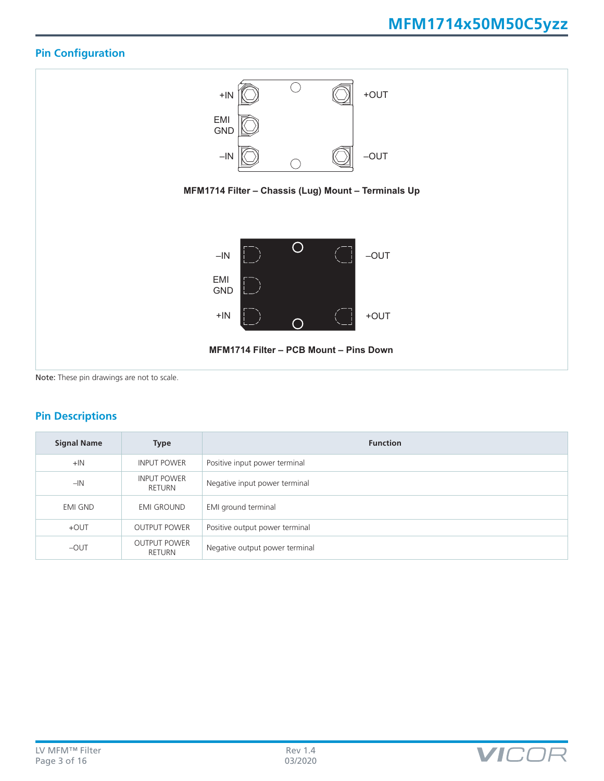# **Pin Configuration**



# **Pin Descriptions**

| <b>Signal Name</b> | <b>Type</b>                          | <b>Function</b>                |
|--------------------|--------------------------------------|--------------------------------|
| $+IN$              | <b>INPUT POWER</b>                   | Positive input power terminal  |
| $-IN$              | <b>INPUT POWER</b><br>RETURN         | Negative input power terminal  |
| <b>EMI GND</b>     | <b>EMI GROUND</b>                    | EMI ground terminal            |
| $+$ OUT            | <b>OUTPUT POWER</b>                  | Positive output power terminal |
| $-$ OUT            | <b>OUTPUT POWER</b><br><b>RETURN</b> | Negative output power terminal |

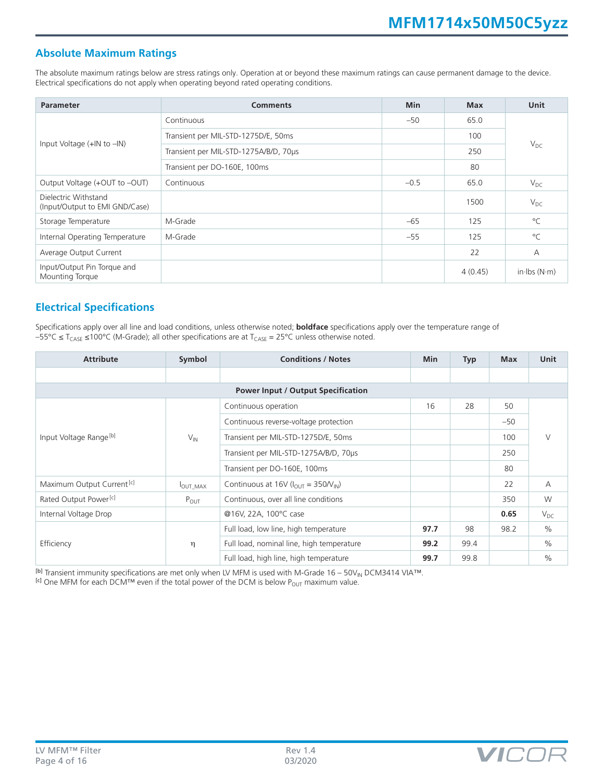### **Absolute Maximum Ratings**

The absolute maximum ratings below are stress ratings only. Operation at or beyond these maximum ratings can cause permanent damage to the device. Electrical specifications do not apply when operating beyond rated operating conditions.

| <b>Parameter</b>                                       | <b>Comments</b>                       | <b>Min</b> | <b>Max</b> | Unit                         |  |
|--------------------------------------------------------|---------------------------------------|------------|------------|------------------------------|--|
| Input Voltage $(+$ IN to $-$ IN)                       | Continuous                            | $-50$      | 65.0       | $V_{DC}$                     |  |
|                                                        | Transient per MIL-STD-1275D/E, 50ms   |            | 100        |                              |  |
|                                                        | Transient per MIL-STD-1275A/B/D, 70µs |            | 250        |                              |  |
|                                                        | Transient per DO-160E, 100ms          |            | 80         |                              |  |
| Output Voltage (+OUT to -OUT)                          | Continuous                            | $-0.5$     | 65.0       | $V_{DC}$                     |  |
| Dielectric Withstand<br>(Input/Output to EMI GND/Case) |                                       |            | 1500       | $V_{DC}$                     |  |
| Storage Temperature                                    | M-Grade                               | $-65$      | 125        | $^{\circ}C$                  |  |
| Internal Operating Temperature                         | M-Grade                               | $-55$      | 125        | $^{\circ}C$                  |  |
| Average Output Current                                 |                                       |            | 22         | A                            |  |
| Input/Output Pin Torque and<br>Mounting Torque         |                                       |            | 4(0.45)    | in $\cdot$ lbs (N $\cdot$ m) |  |

# **Electrical Specifications**

Specifications apply over all line and load conditions, unless otherwise noted; **boldface** specifications apply over the temperature range of  $-55^{\circ}$ C ≤ T<sub>CASE</sub> ≤100°C (M-Grade); all other specifications are at T<sub>CASE</sub> = 25°C unless otherwise noted.

| <b>Attribute</b>                   | Symbol               | <b>Conditions / Notes</b>                                     |      | <b>Typ</b> | <b>Max</b> | <b>Unit</b>   |
|------------------------------------|----------------------|---------------------------------------------------------------|------|------------|------------|---------------|
|                                    |                      |                                                               |      |            |            |               |
|                                    |                      | <b>Power Input / Output Specification</b>                     |      |            |            |               |
|                                    | $V_{IN}$             | Continuous operation                                          | 16   | 28         | 50         | V             |
|                                    |                      | Continuous reverse-voltage protection                         |      |            | $-50$      |               |
| Input Voltage Range <sup>[b]</sup> |                      | Transient per MIL-STD-1275D/E, 50ms                           |      |            | 100        |               |
|                                    |                      | Transient per MIL-STD-1275A/B/D, 70µs                         |      |            | 250        |               |
|                                    |                      | Transient per DO-160E, 100ms                                  |      |            | 80         |               |
| Maximum Output Current [c]         | $I_{\text{OUT MAX}}$ | Continuous at 16V ( $I_{\text{OUT}}$ = 350/ $V_{\text{IN}}$ ) |      |            | 22         | A             |
| Rated Output Power <sup>[c]</sup>  | $P_{OUT}$            | Continuous, over all line conditions                          |      |            | 350        | W             |
| Internal Voltage Drop              |                      | @16V, 22A, 100°C case                                         |      |            | 0.65       | $V_{DC}$      |
| Efficiency                         | η                    | Full load, low line, high temperature                         | 97.7 | 98         | 98.2       | $\frac{0}{0}$ |
|                                    |                      | Full load, nominal line, high temperature                     | 99.2 | 99.4       |            | $\%$          |
|                                    |                      | Full load, high line, high temperature                        | 99.7 | 99.8       |            | $\%$          |

[b] Transient immunity specifications are met only when LV MFM is used with M-Grade 16 – 50V<sub>IN</sub> DCM3414 VIA<sup>TM</sup>.

[c] One MFM for each DCM™ even if the total power of the DCM is below P<sub>OUT</sub> maximum value.

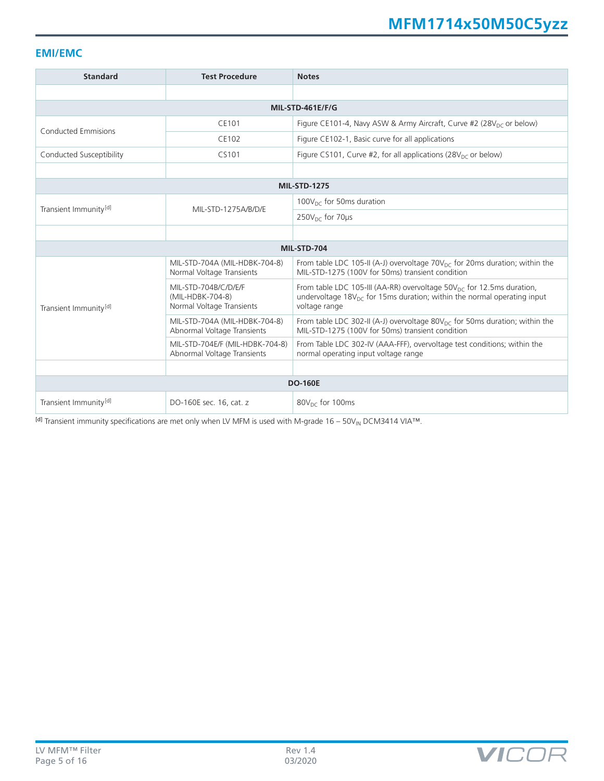### **EMI/EMC**

| <b>Standard</b>                   | <b>Test Procedure</b>                                                 | <b>Notes</b>                                                                                                                                                                               |  |  |  |
|-----------------------------------|-----------------------------------------------------------------------|--------------------------------------------------------------------------------------------------------------------------------------------------------------------------------------------|--|--|--|
|                                   |                                                                       |                                                                                                                                                                                            |  |  |  |
| MIL-STD-461E/F/G                  |                                                                       |                                                                                                                                                                                            |  |  |  |
| <b>Conducted Emmisions</b>        | CE101                                                                 | Figure CE101-4, Navy ASW & Army Aircraft, Curve #2 (28V <sub>DC</sub> or below)                                                                                                            |  |  |  |
|                                   | CE102                                                                 | Figure CE102-1, Basic curve for all applications                                                                                                                                           |  |  |  |
| Conducted Susceptibility          | CS101                                                                 | Figure CS101, Curve #2, for all applications (28 $VDC$ or below)                                                                                                                           |  |  |  |
|                                   |                                                                       |                                                                                                                                                                                            |  |  |  |
|                                   |                                                                       | <b>MIL-STD-1275</b>                                                                                                                                                                        |  |  |  |
| Transient Immunity <sup>[d]</sup> | MIL-STD-1275A/B/D/E                                                   | 100 $V_{\text{DC}}$ for 50ms duration                                                                                                                                                      |  |  |  |
|                                   |                                                                       | $250V_{\text{nc}}$ for 70 $\mu$ s                                                                                                                                                          |  |  |  |
|                                   |                                                                       |                                                                                                                                                                                            |  |  |  |
|                                   |                                                                       | MIL-STD-704                                                                                                                                                                                |  |  |  |
|                                   | MIL-STD-704A (MIL-HDBK-704-8)<br>Normal Voltage Transients            | From table LDC 105-II (A-J) overvoltage $70V_{DC}$ for 20ms duration; within the<br>MIL-STD-1275 (100V for 50ms) transient condition                                                       |  |  |  |
| Transient Immunity <sup>[d]</sup> | MIL-STD-704B/C/D/E/F<br>(MIL-HDBK-704-8)<br>Normal Voltage Transients | From table LDC 105-III (AA-RR) overvoltage $50V_{\text{DC}}$ for 12.5ms duration,<br>undervoltage 18 $V_{\text{DC}}$ for 15ms duration; within the normal operating input<br>voltage range |  |  |  |
|                                   | MIL-STD-704A (MIL-HDBK-704-8)<br>Abnormal Voltage Transients          | From table LDC 302-II (A-J) overvoltage $80V_{DC}$ for 50ms duration; within the<br>MIL-STD-1275 (100V for 50ms) transient condition                                                       |  |  |  |
|                                   | MIL-STD-704E/F (MIL-HDBK-704-8)<br>Abnormal Voltage Transients        | From Table LDC 302-IV (AAA-FFF), overvoltage test conditions; within the<br>normal operating input voltage range                                                                           |  |  |  |
|                                   |                                                                       |                                                                                                                                                                                            |  |  |  |
| <b>DO-160E</b>                    |                                                                       |                                                                                                                                                                                            |  |  |  |
| Transient Immunity <sup>[d]</sup> | DO-160E sec. 16, cat. z                                               | 80V <sub>DC</sub> for 100ms                                                                                                                                                                |  |  |  |

[d] Transient immunity specifications are met only when LV MFM is used with M-grade 16 – 50V<sub>IN</sub> DCM3414 VIA™.

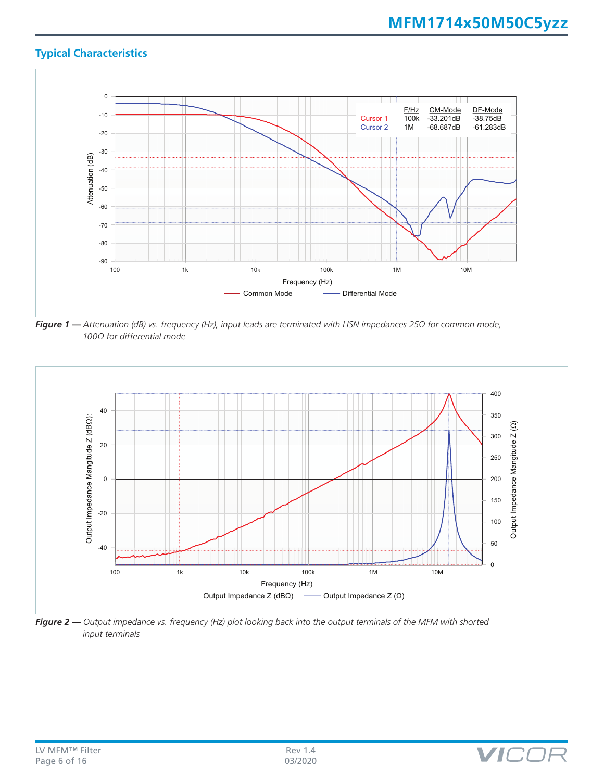# **Typical Characteristics**



*Figure 1 — Attenuation (dB) vs. frequency (Hz), input leads are terminated with LISN impedances 25Ω for common mode, 100Ω for differential mode*



*Figure 2 — Output impedance vs. frequency (Hz) plot looking back into the output terminals of the MFM with shorted input terminals*

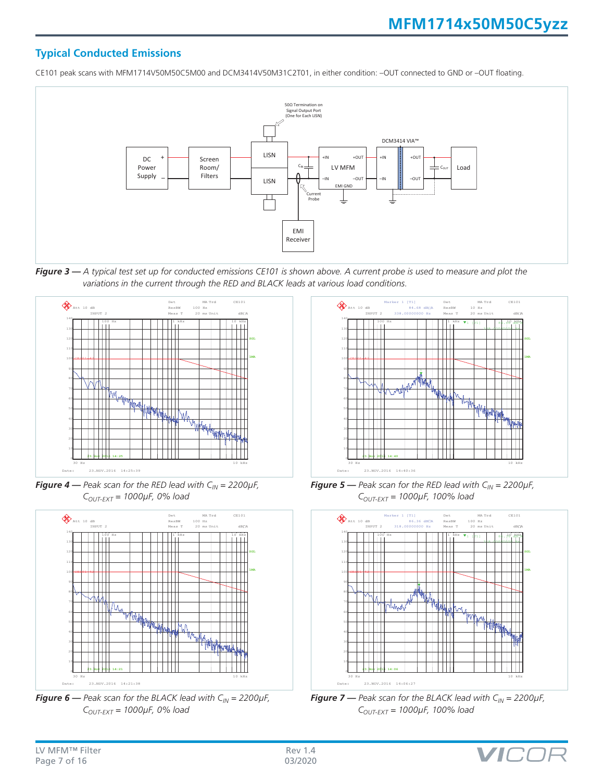# **Typical Conducted Emissions**

CE101 peak scans with MFM1714V50M50C5M00 and DCM3414V50M31C2T01, in either condition: –OUT connected to GND or –OUT floating.



*Figure 3 — A typical test set up for conducted emissions CE101 is shown above. A current probe is used to measure and plot the variations in the current through the RED and BLACK leads at various load conditions.*



**Figure 4** — Peak scan for the RED lead with  $C_{IN} = 2200 \mu F$ , *COUT-EXT = 1000µF, 0% load*



**Figure 6** — Peak scan for the BLACK lead with  $C_{IN} = 2200 \mu F$ , *COUT-EXT = 1000µF, 0% load*



**Figure 5** — Peak scan for the RED lead with  $C_{IN} = 2200 \mu F$ , *COUT-EXT = 1000µF, 100% load*



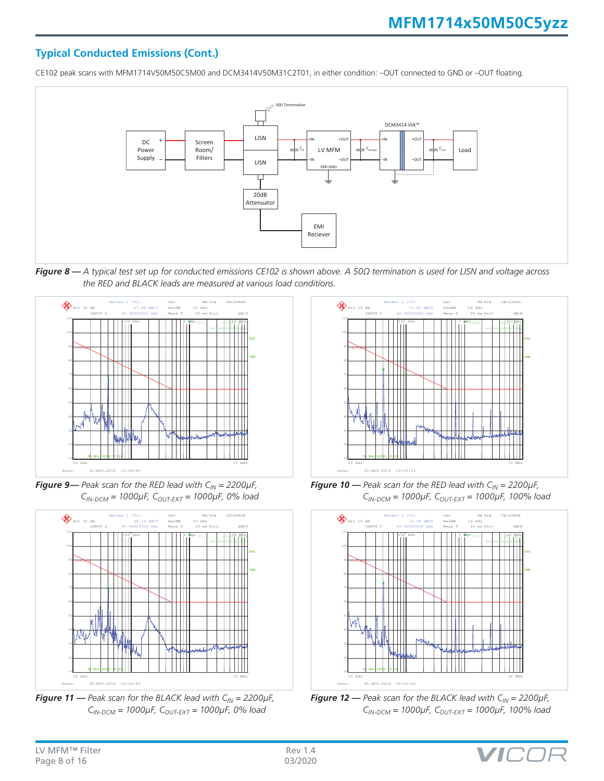# **Typical Conducted Emissions (Cont.)**

CE102 peak scans with MFM1714V50M50C5M00 and DCM3414V50M31C2T01, in either condition: –OUT connected to GND or –OUT floating.



*Figure 8 — A typical test set up for conducted emissions CE102 is shown above. A 50Ω termination is used for LISN and voltage across the RED and BLACK leads are measured at various load conditions.*



**Figure 9**— Peak scan for the RED lead with  $C_{IN} = 2200 \mu F$ , *CIN-DCM = 1000µF, COUT-EXT = 1000µF, 0% load*



**Figure 11** — Peak scan for the BLACK lead with  $C_{IN} = 2200 \mu F$ , *CIN-DCM = 1000µF, COUT-EXT = 1000µF, 0% load*



**Figure 10** — Peak scan for the RED lead with  $C_{IN} = 2200 \mu F$ , *CIN-DCM = 1000µF, COUT-EXT = 1000µF, 100% load*



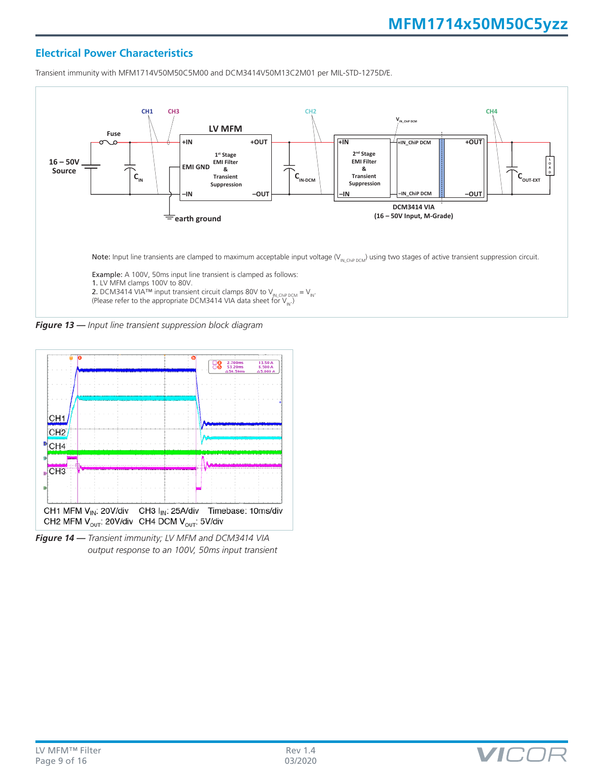### **Electrical Power Characteristics**

Transient immunity with MFM1714V50M50C5M00 and DCM3414V50M13C2M01 per MIL-STD-1275D/E.



*Figure 13 — Input line transient suppression block diagram*



*Figure 14 — Transient immunity; LV MFM and DCM3414 VIA output response to an 100V, 50ms input transient*

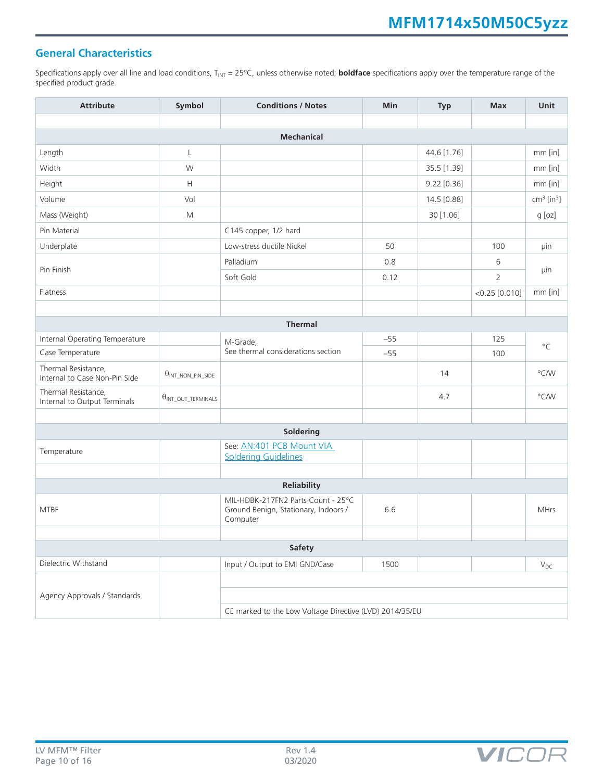# **General Characteristics**

Specifications apply over all line and load conditions, T<sub>INT</sub> = 25°C, unless otherwise noted; **boldface** specifications apply over the temperature range of the specified product grade.

| <b>Attribute</b>                                     | Symbol                                | <b>Conditions / Notes</b>                                                              | Min   | <b>Typ</b>  | <b>Max</b>       | Unit                     |  |
|------------------------------------------------------|---------------------------------------|----------------------------------------------------------------------------------------|-------|-------------|------------------|--------------------------|--|
|                                                      |                                       |                                                                                        |       |             |                  |                          |  |
|                                                      |                                       | <b>Mechanical</b>                                                                      |       |             |                  |                          |  |
| Length                                               | L                                     |                                                                                        |       | 44.6 [1.76] |                  | $mm$ [in]                |  |
| Width                                                | W                                     |                                                                                        |       | 35.5 [1.39] |                  | mm [in]                  |  |
| Height                                               | H                                     |                                                                                        |       | 9.22 [0.36] |                  | mm [in]                  |  |
| Volume                                               | Vol                                   |                                                                                        |       | 14.5 [0.88] |                  | $cm3$ [in <sup>3</sup> ] |  |
| Mass (Weight)                                        | M                                     |                                                                                        |       | 30 [1.06]   |                  | $g$ [oz]                 |  |
| Pin Material                                         |                                       | C145 copper, 1/2 hard                                                                  |       |             |                  |                          |  |
| Underplate                                           |                                       | Low-stress ductile Nickel                                                              | 50    |             | 100              | μin                      |  |
|                                                      |                                       | Palladium                                                                              | 0.8   |             | 6                |                          |  |
| Pin Finish                                           |                                       | Soft Gold                                                                              | 0.12  |             | $\overline{2}$   | μin                      |  |
| Flatness                                             |                                       |                                                                                        |       |             | $<$ 0.25 [0.010] | mm [in]                  |  |
|                                                      |                                       |                                                                                        |       |             |                  |                          |  |
|                                                      |                                       | <b>Thermal</b>                                                                         |       |             |                  |                          |  |
| Internal Operating Temperature                       |                                       | M-Grade;                                                                               | $-55$ |             | 125              |                          |  |
| Case Temperature                                     |                                       | See thermal considerations section                                                     | $-55$ |             | 100              | $^{\circ}C$              |  |
| Thermal Resistance,<br>Internal to Case Non-Pin Side | $\theta_{INT\_NON\_PIN\_SIDE}$        |                                                                                        |       | 14          |                  | $\degree$ C/W            |  |
| Thermal Resistance,<br>Internal to Output Terminals  | $\theta_{\text{INT\_OUT\_TERMINALS}}$ |                                                                                        |       | 4.7         |                  | $\degree$ C/W            |  |
|                                                      |                                       |                                                                                        |       |             |                  |                          |  |
|                                                      |                                       | Soldering                                                                              |       |             |                  |                          |  |
| Temperature                                          |                                       | See: AN:401 PCB Mount VIA<br><b>Soldering Guidelines</b>                               |       |             |                  |                          |  |
|                                                      |                                       |                                                                                        |       |             |                  |                          |  |
| Reliability                                          |                                       |                                                                                        |       |             |                  |                          |  |
| <b>MTBF</b>                                          |                                       | MIL-HDBK-217FN2 Parts Count - 25°C<br>Ground Benign, Stationary, Indoors /<br>Computer | 6.6   |             |                  | <b>MHrs</b>              |  |
|                                                      |                                       |                                                                                        |       |             |                  |                          |  |
| <b>Safety</b>                                        |                                       |                                                                                        |       |             |                  |                          |  |
| Dielectric Withstand                                 |                                       | Input / Output to EMI GND/Case                                                         | 1500  |             |                  | $V_{DC}$                 |  |
|                                                      |                                       |                                                                                        |       |             |                  |                          |  |
| Agency Approvals / Standards                         |                                       |                                                                                        |       |             |                  |                          |  |
|                                                      |                                       | CE marked to the Low Voltage Directive (LVD) 2014/35/EU                                |       |             |                  |                          |  |

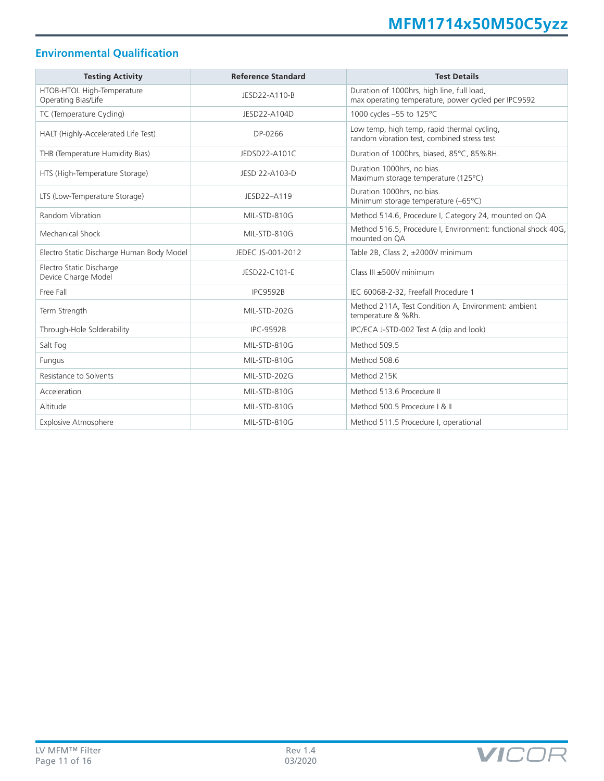# **Environmental Qualification**

| <b>Testing Activity</b>                           | <b>Reference Standard</b> | <b>Test Details</b>                                                                               |
|---------------------------------------------------|---------------------------|---------------------------------------------------------------------------------------------------|
| HTOB-HTOL High-Temperature<br>Operating Bias/Life | JESD22-A110-B             | Duration of 1000hrs, high line, full load,<br>max operating temperature, power cycled per IPC9592 |
| TC (Temperature Cycling)                          | JESD22-A104D              | 1000 cycles -55 to 125°C                                                                          |
| HALT (Highly-Accelerated Life Test)               | DP-0266                   | Low temp, high temp, rapid thermal cycling,<br>random vibration test, combined stress test        |
| THB (Temperature Humidity Bias)                   | JEDSD22-A101C             | Duration of 1000hrs, biased, 85°C, 85%RH.                                                         |
| HTS (High-Temperature Storage)                    | JESD 22-A103-D            | Duration 1000hrs, no bias.<br>Maximum storage temperature (125°C)                                 |
| LTS (Low-Temperature Storage)                     | JESD22-A119               | Duration 1000hrs, no bias.<br>Minimum storage temperature (-65°C)                                 |
| Random Vibration                                  | MIL-STD-810G              | Method 514.6, Procedure I, Category 24, mounted on QA                                             |
| Mechanical Shock                                  | MIL-STD-810G              | Method 516.5, Procedure I, Environment: functional shock 40G,<br>mounted on OA                    |
| Electro Static Discharge Human Body Model         | JEDEC JS-001-2012         | Table 2B, Class 2, ±2000V minimum                                                                 |
| Electro Static Discharge<br>Device Charge Model   | JESD22-C101-E             | Class III ±500V minimum                                                                           |
| Free Fall                                         | <b>IPC9592B</b>           | IEC 60068-2-32, Freefall Procedure 1                                                              |
| Term Strength                                     | MIL-STD-202G              | Method 211A, Test Condition A, Environment: ambient<br>temperature & %Rh.                         |
| Through-Hole Solderability                        | <b>IPC-9592B</b>          | IPC/ECA J-STD-002 Test A (dip and look)                                                           |
| Salt Fog                                          | MIL-STD-810G              | Method 509.5                                                                                      |
| Fungus                                            | MIL-STD-810G              | Method 508.6                                                                                      |
| Resistance to Solvents                            | MIL-STD-202G              | Method 215K                                                                                       |
| Acceleration                                      | MIL-STD-810G              | Method 513.6 Procedure II                                                                         |
| Altitude                                          | MIL-STD-810G              | Method 500.5 Procedure   & II                                                                     |
| <b>Explosive Atmosphere</b>                       | MIL-STD-810G              | Method 511.5 Procedure I, operational                                                             |

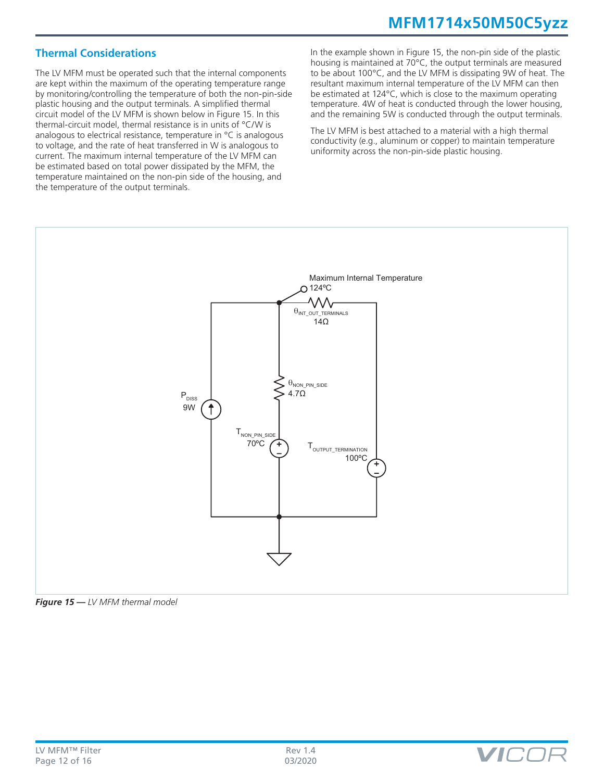# **MFM1714x50M50C5yzz**

## **Thermal Considerations**

The LV MFM must be operated such that the internal components are kept within the maximum of the operating temperature range by monitoring/controlling the temperature of both the non-pin-side plastic housing and the output terminals. A simplified thermal circuit model of the LV MFM is shown below in Figure 15. In this thermal-circuit model, thermal resistance is in units of °C/W is analogous to electrical resistance, temperature in °C is analogous to voltage, and the rate of heat transferred in W is analogous to current. The maximum internal temperature of the LV MFM can be estimated based on total power dissipated by the MFM, the temperature maintained on the non-pin side of the housing, and the temperature of the output terminals.

In the example shown in Figure 15, the non-pin side of the plastic housing is maintained at 70°C, the output terminals are measured to be about 100°C, and the LV MFM is dissipating 9W of heat. The resultant maximum internal temperature of the LV MFM can then be estimated at 124°C, which is close to the maximum operating temperature. 4W of heat is conducted through the lower housing, and the remaining 5W is conducted through the output terminals.

The LV MFM is best attached to a material with a high thermal conductivity (e.g., aluminum or copper) to maintain temperature uniformity across the non-pin-side plastic housing.





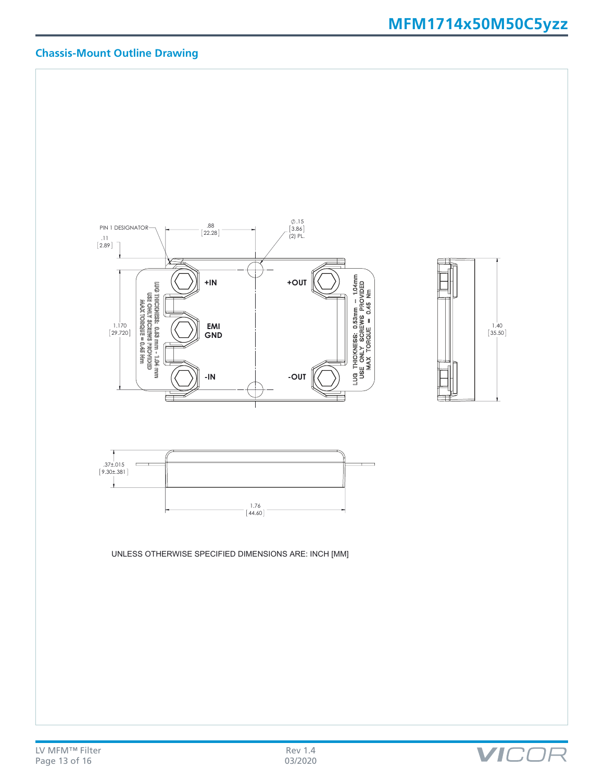# **MFM1714x50M50C5yzz**

# **Chassis-Mount Outline Drawing**



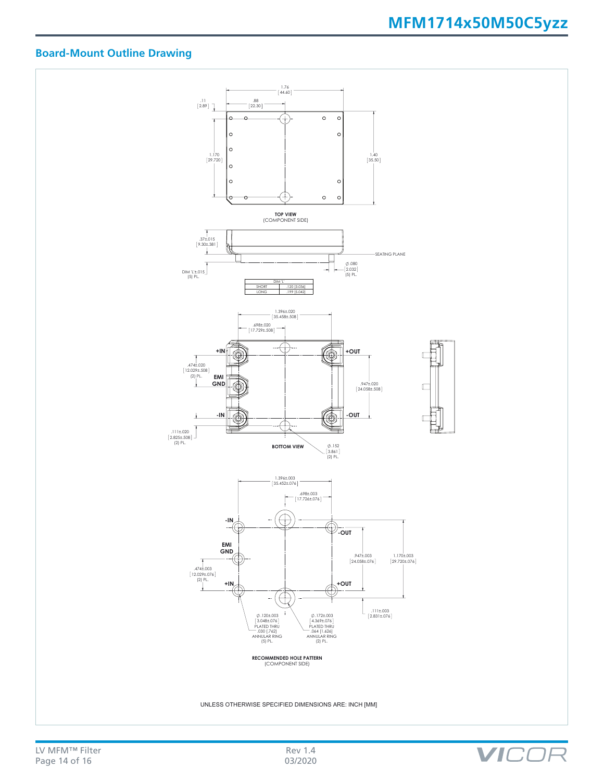VIC

 $\neg L$ 

# **Board-Mount Outline Drawing**



UNLESS OTHERWISE SPECIFIED DIMENSIONS ARE: INCH [MM]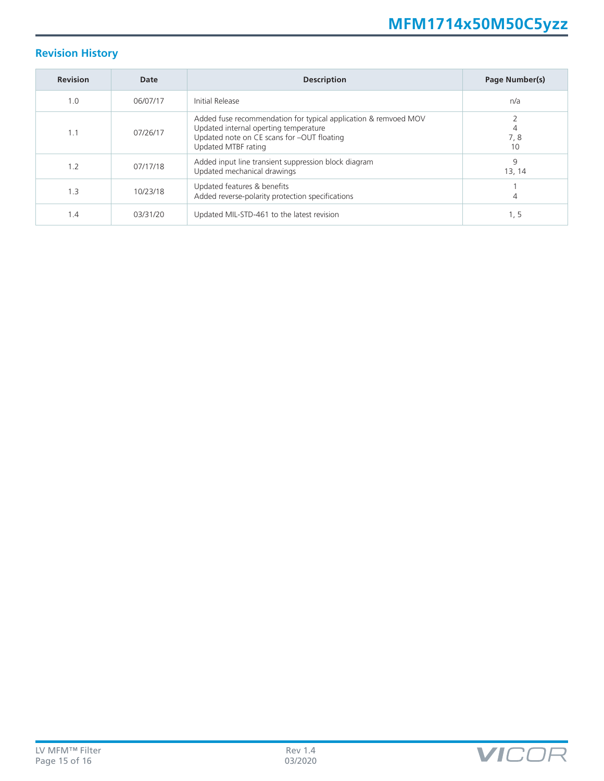# **Revision History**

| <b>Revision</b> | Date     | <b>Description</b>                                                                                                                                                            | Page Number(s) |
|-----------------|----------|-------------------------------------------------------------------------------------------------------------------------------------------------------------------------------|----------------|
| 1.0             | 06/07/17 | Initial Release                                                                                                                                                               | n/a            |
| 1.1             | 07/26/17 | Added fuse recommendation for typical application & remvoed MOV<br>Updated internal operting temperature<br>Updated note on CE scans for -OUT floating<br>Updated MTBF rating | 7,8<br>10      |
| 1.2             | 07/17/18 | Added input line transient suppression block diagram<br>Updated mechanical drawings                                                                                           | 9<br>13, 14    |
| 1.3             | 10/23/18 | Updated features & benefits<br>Added reverse-polarity protection specifications                                                                                               | 4              |
| 1.4             | 03/31/20 | Updated MIL-STD-461 to the latest revision                                                                                                                                    | 1, 5           |